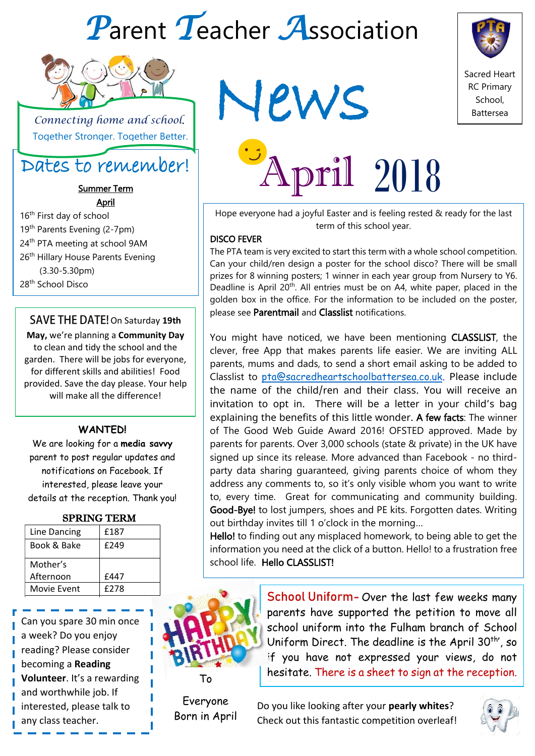# *P*arent *T*eacher *A*ssociation



 *Connecting home and school*. Together Stronger. Together Better.

### Dates to remember!

Summer Term April

16<sup>th</sup> First day of school 19<sup>th</sup> Parents Evening (2-7pm)  $24<sup>th</sup>$  PTA meeting at school 9AM 26<sup>th</sup> Hillary House Parents Evening (3.30-5.30pm) 28th School Disco

### **SAVE THE DATE!** On Saturday 19th

**May,** we're planning a **Community Day** to clean and tidy the school and the garden. There will be jobs for everyone, for different skills and abilities! Food provided. Save the day please. Your help will make all the difference!

### **WANTED!**

We are looking for a **media savvy** parent to post regular updates and notifications on Facebook. If interested, please leave your details at the reception. Thank you!

### SPRING TERM

| £187 |
|------|
| £249 |
|      |
|      |
| £447 |
|      |
|      |

Can you spare 30 min once a week? Do you enjoy reading? Please consider becoming a **Reading Volunteer**. It's a rewarding and worthwhile job. If interested, please talk to any class teacher.

News



April 2018

Hope everyone had a joyful Easter and is feeling rested & ready for the last term of this school year.

#### DISCO FEVER

The PTA team is very excited to start this term with a whole school competition. Can your child/ren design a poster for the school disco? There will be small prizes for 8 winning posters; 1 winner in each year group from Nursery to Y6. Deadline is April 20<sup>th</sup>. All entries must be on A4, white paper, placed in the golden box in the office. For the information to be included on the poster, please see Parentmail and Classlist notifications.

You might have noticed, we have been mentioning CLASSLIST, the clever, free App that makes parents life easier. We are inviting ALL parents, mums and dads, to send a short email asking to be added to Classlist to [pta@sacredheartschoolbattersea.co.uk.](mailto:pta@sacredheartschoolbattersea.co.uk) Please include the name of the child/ren and their class. You will receive an invitation to opt in. There will be a letter in your child's bag explaining the benefits of this little wonder. A few facts: The winner of The Good Web Guide Award 2016! OFSTED approved. Made by parents for parents. Over 3,000 schools (state & private) in the UK have signed up since its release. More advanced than Facebook - no thirdparty data sharing guaranteed, giving parents choice of whom they address any comments to, so it's only visible whom you want to write to, every time. Great for communicating and community building. Good-Bye! to lost jumpers, shoes and PE kits. Forgotten dates. Writing out birthday invites till 1 o'clock in the morning…

Hello! to finding out any misplaced homework, to being able to get the information you need at the click of a button. Hello! to a frustration free school life. Hello CLASSLIST!



School Uniform- Over the last few weeks many parents have supported the petition to move all school uniform into the Fulham branch of School Uniform Direct. The deadline is the April  $30<sup>th</sup>$ , so if you have not expressed your views, do not hesitate. There is a sheet to sign at the reception.

Everyone Born in April

Do you like looking after your **pearly whites**? Check out this fantastic competition overleaf!